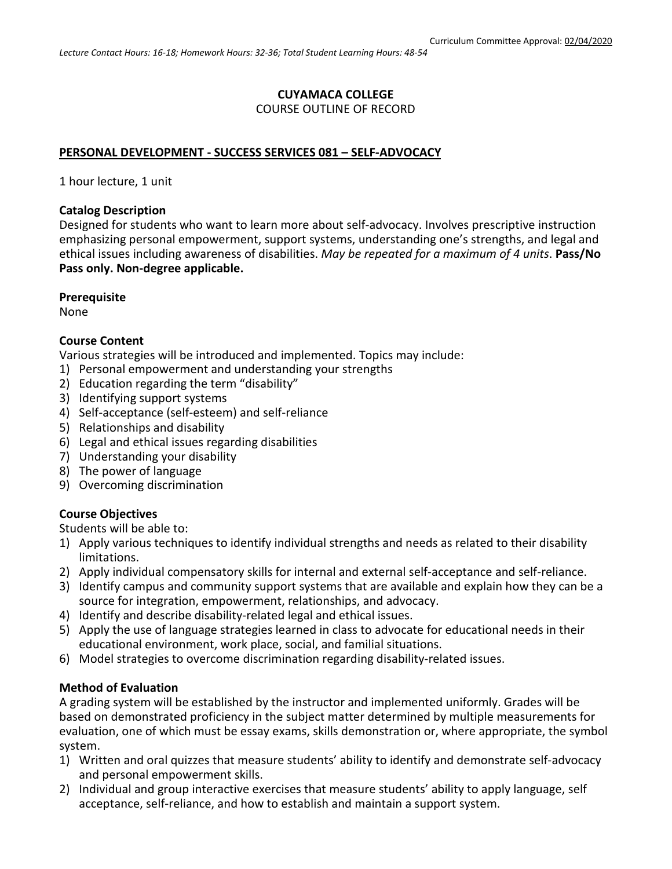#### **CUYAMACA COLLEGE** COURSE OUTLINE OF RECORD

## **PERSONAL DEVELOPMENT - SUCCESS SERVICES 081 – SELF-ADVOCACY**

1 hour lecture, 1 unit

### **Catalog Description**

Designed for students who want to learn more about self-advocacy. Involves prescriptive instruction emphasizing personal empowerment, support systems, understanding one's strengths, and legal and ethical issues including awareness of disabilities. *May be repeated for a maximum of 4 units*. **Pass/No Pass only. Non-degree applicable.**

### **Prerequisite**

None

## **Course Content**

Various strategies will be introduced and implemented. Topics may include:

- 1) Personal empowerment and understanding your strengths
- 2) Education regarding the term "disability"
- 3) Identifying support systems
- 4) Self-acceptance (self-esteem) and self-reliance
- 5) Relationships and disability
- 6) Legal and ethical issues regarding disabilities
- 7) Understanding your disability
- 8) The power of language
- 9) Overcoming discrimination

## **Course Objectives**

Students will be able to:

- 1) Apply various techniques to identify individual strengths and needs as related to their disability limitations.
- 2) Apply individual compensatory skills for internal and external self-acceptance and self-reliance.
- 3) Identify campus and community support systems that are available and explain how they can be a source for integration, empowerment, relationships, and advocacy.
- 4) Identify and describe disability-related legal and ethical issues.
- 5) Apply the use of language strategies learned in class to advocate for educational needs in their educational environment, work place, social, and familial situations.
- 6) Model strategies to overcome discrimination regarding disability-related issues.

## **Method of Evaluation**

A grading system will be established by the instructor and implemented uniformly. Grades will be based on demonstrated proficiency in the subject matter determined by multiple measurements for evaluation, one of which must be essay exams, skills demonstration or, where appropriate, the symbol system.

- 1) Written and oral quizzes that measure students' ability to identify and demonstrate self-advocacy and personal empowerment skills.
- 2) Individual and group interactive exercises that measure students' ability to apply language, self acceptance, self-reliance, and how to establish and maintain a support system.